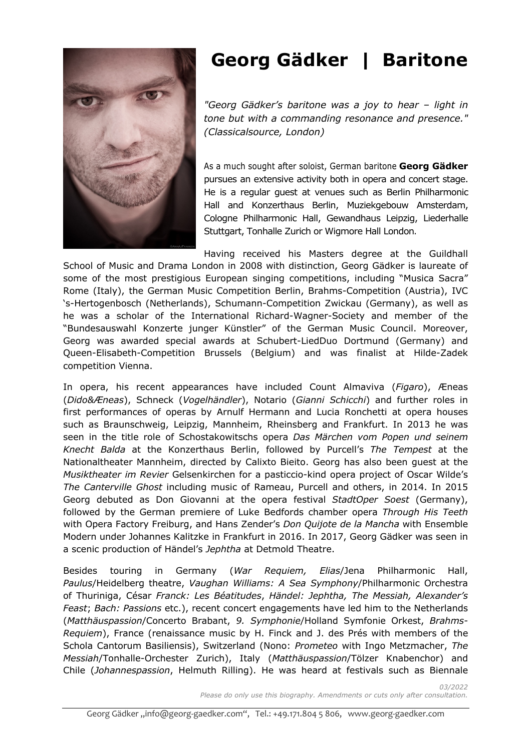

# **Georg Gädker | Baritone**

*"Georg Gädker's baritone was a joy to hear – light in tone but with a commanding resonance and presence." (Classicalsource, London)*

As a much sought after soloist, German baritone **Georg Gädker** pursues an extensive activity both in opera and concert stage. He is a regular guest at venues such as Berlin Philharmonic Hall and Konzerthaus Berlin, Muziekgebouw Amsterdam, Cologne Philharmonic Hall, Gewandhaus Leipzig, Liederhalle Stuttgart, Tonhalle Zurich or Wigmore Hall London.

Having received his Masters degree at the Guildhall School of Music and Drama London in 2008 with distinction, Georg Gädker is laureate of some of the most prestigious European singing competitions, including "Musica Sacra" Rome (Italy), the German Music Competition Berlin, Brahms-Competition (Austria), IVC 's-Hertogenbosch (Netherlands), Schumann-Competition Zwickau (Germany), as well as he was a scholar of the International Richard-Wagner-Society and member of the "Bundesauswahl Konzerte junger Künstler" of the German Music Council. Moreover, Georg was awarded special awards at Schubert-LiedDuo Dortmund (Germany) and Queen-Elisabeth-Competition Brussels (Belgium) and was finalist at Hilde-Zadek competition Vienna.

In opera, his recent appearances have included Count Almaviva (*Figaro*), Æneas (*Dido&Æneas*), Schneck (*Vogelhändler*), Notario (*Gianni Schicchi*) and further roles in first performances of operas by Arnulf Hermann and Lucia Ronchetti at opera houses such as Braunschweig, Leipzig, Mannheim, Rheinsberg and Frankfurt. In 2013 he was seen in the title role of Schostakowitschs opera *Das Märchen vom Popen und seinem Knecht Balda* at the Konzerthaus Berlin, followed by Purcell's *The Tempest* at the Nationaltheater Mannheim, directed by Calixto Bieito. Georg has also been guest at the *Musiktheater im Revier* Gelsenkirchen for a pasticcio-kind opera project of Oscar Wilde's *The Canterville Ghost* including music of Rameau, Purcell and others, in 2014. In 2015 Georg debuted as Don Giovanni at the opera festival *StadtOper Soest* (Germany), followed by the German premiere of Luke Bedfords chamber opera *Through His Teeth* with Opera Factory Freiburg, and Hans Zender's *Don Quijote de la Mancha* with Ensemble Modern under Johannes Kalitzke in Frankfurt in 2016. In 2017, Georg Gädker was seen in a scenic production of Händel's *Jephtha* at Detmold Theatre.

Besides touring in Germany (*War Requiem, Elias*/Jena Philharmonic Hall, *Paulus*/Heidelberg theatre, *Vaughan Williams: A Sea Symphony*/Philharmonic Orchestra of Thuriniga, César *Franck: Les Béatitudes*, *Händel: Jephtha, The Messiah, Alexander's Feast*; *Bach: Passions* etc.), recent concert engagements have led him to the Netherlands (*Matthäuspassion*/Concerto Brabant, *9. Symphonie*/Holland Symfonie Orkest, *Brahms-Requiem*), France (renaissance music by H. Finck and J. des Prés with members of the Schola Cantorum Basiliensis), Switzerland (Nono: *Prometeo* with Ingo Metzmacher, *The Messiah*/Tonhalle-Orchester Zurich), Italy (*Matthäuspassion*/Tölzer Knabenchor) and Chile (*Johannespassion*, Helmuth Rilling). He was heard at festivals such as Biennale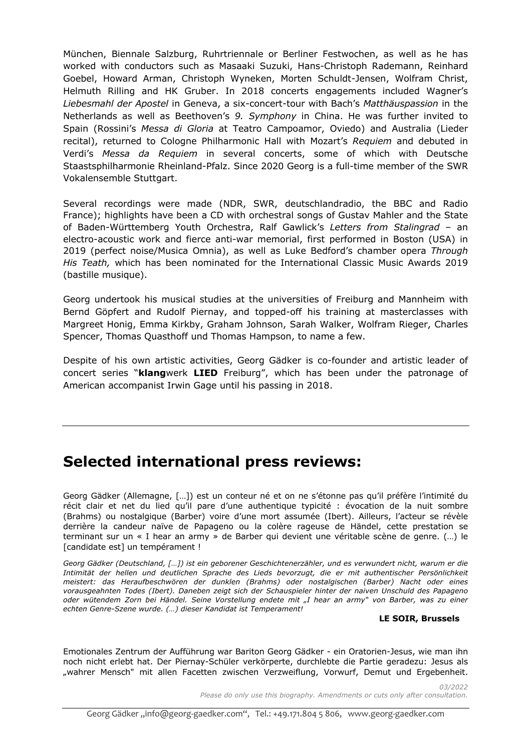München, Biennale Salzburg, Ruhrtriennale or Berliner Festwochen, as well as he has worked with conductors such as Masaaki Suzuki, Hans-Christoph Rademann, Reinhard Goebel, Howard Arman, Christoph Wyneken, Morten Schuldt-Jensen, Wolfram Christ, Helmuth Rilling and HK Gruber. In 2018 concerts engagements included Wagner's *Liebesmahl der Apostel* in Geneva, a six-concert-tour with Bach's *Matthäuspassion* in the Netherlands as well as Beethoven's *9. Symphony* in China. He was further invited to Spain (Rossini's *Messa di Gloria* at Teatro Campoamor, Oviedo) and Australia (Lieder recital), returned to Cologne Philharmonic Hall with Mozart's *Requiem* and debuted in Verdi's *Messa da Requiem* in several concerts, some of which with Deutsche Staastsphilharmonie Rheinland-Pfalz. Since 2020 Georg is a full-time member of the SWR Vokalensemble Stuttgart.

Several recordings were made (NDR, SWR, deutschlandradio, the BBC and Radio France); highlights have been a CD with orchestral songs of Gustav Mahler and the State of Baden-Württemberg Youth Orchestra, Ralf Gawlick's *Letters from Stalingrad* – an electro-acoustic work and fierce anti-war memorial, first performed in Boston (USA) in 2019 (perfect noise/Musica Omnia), as well as Luke Bedford's chamber opera *Through His Teath,* which has been nominated for the International Classic Music Awards 2019 (bastille musique).

Georg undertook his musical studies at the universities of Freiburg and Mannheim with Bernd Göpfert and Rudolf Piernay, and topped-off his training at masterclasses with Margreet Honig, Emma Kirkby, Graham Johnson, Sarah Walker, Wolfram Rieger, Charles Spencer, Thomas Quasthoff und Thomas Hampson, to name a few.

Despite of his own artistic activities, Georg Gädker is co-founder and artistic leader of concert series "**klang**werk **LIED** Freiburg", which has been under the patronage of American accompanist Irwin Gage until his passing in 2018.

## **Selected international press reviews:**

Georg Gädker (Allemagne, […]) est un conteur né et on ne s'étonne pas qu'il préfère l'intimité du récit clair et net du lied qu'il pare d'une authentique typicité : évocation de la nuit sombre (Brahms) ou nostalgique (Barber) voire d'une mort assumée (Ibert). Ailleurs, l'acteur se révèle derrière la candeur naïve de Papageno ou la colère rageuse de Händel, cette prestation se terminant sur un « I hear an army » de Barber qui devient une véritable scène de genre. (…) le [candidate est] un tempérament !

*Georg Gädker (Deutschland, […]) ist ein geborener Geschichtenerzähler, und es verwundert nicht, warum er die Intimität der hellen und deutlichen Sprache des Lieds bevorzugt, die er mit authentischer Persönlichkeit meistert: das Heraufbeschwören der dunklen (Brahms) oder nostalgischen (Barber) Nacht oder eines vorausgeahnten Todes (Ibert). Daneben zeigt sich der Schauspieler hinter der naiven Unschuld des Papageno oder wütendem Zorn bei Händel. Seine Vorstellung endete mit "I hear an army" von Barber, was zu einer echten Genre-Szene wurde. (…) dieser Kandidat ist Temperament!*

#### **LE SOIR, Brussels**

Emotionales Zentrum der Aufführung war Bariton Georg Gädker - ein Oratorien-Jesus, wie man ihn noch nicht erlebt hat. Der Piernay-Schüler verkörperte, durchlebte die Partie geradezu: Jesus als "wahrer Mensch" mit allen Facetten zwischen Verzweiflung, Vorwurf, Demut und Ergebenheit.

> *03/2022 Please do only use this biography. Amendments or cuts only after consultation.*